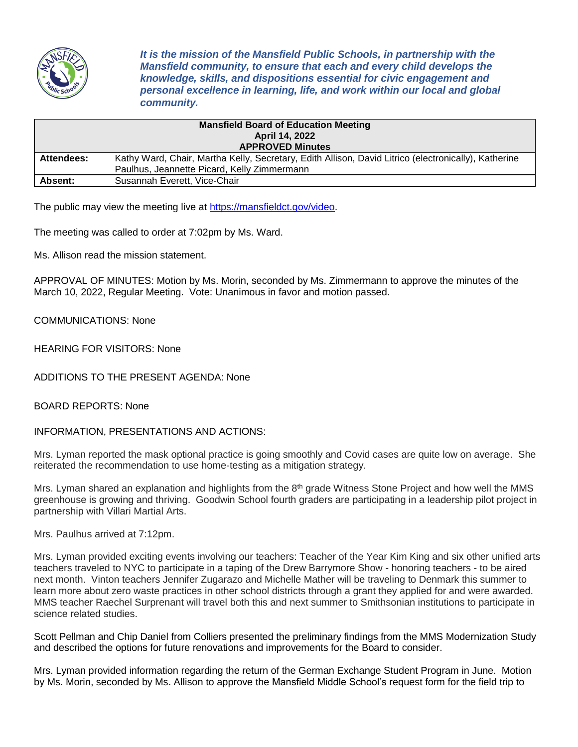

*It is the mission of the Mansfield Public Schools, in partnership with the Mansfield community, to ensure that each and every child develops the knowledge, skills, and dispositions essential for civic engagement and personal excellence in learning, life, and work within our local and global community.*

|                         | <b>Mansfield Board of Education Meeting</b><br><b>April 14, 2022</b>                                 |
|-------------------------|------------------------------------------------------------------------------------------------------|
| <b>APPROVED Minutes</b> |                                                                                                      |
| Attendees:              | Kathy Ward, Chair, Martha Kelly, Secretary, Edith Allison, David Litrico (electronically), Katherine |
|                         | Paulhus, Jeannette Picard, Kelly Zimmermann                                                          |
| <b>Absent:</b>          | Susannah Everett, Vice-Chair                                                                         |

The public may view the meeting live at [https://mansfieldct.gov/video.](https://mansfieldct.gov/video)

The meeting was called to order at 7:02pm by Ms. Ward.

Ms. Allison read the mission statement.

APPROVAL OF MINUTES: Motion by Ms. Morin, seconded by Ms. Zimmermann to approve the minutes of the March 10, 2022, Regular Meeting. Vote: Unanimous in favor and motion passed.

COMMUNICATIONS: None

HEARING FOR VISITORS: None

ADDITIONS TO THE PRESENT AGENDA: None

BOARD REPORTS: None

INFORMATION, PRESENTATIONS AND ACTIONS:

Mrs. Lyman reported the mask optional practice is going smoothly and Covid cases are quite low on average. She reiterated the recommendation to use home-testing as a mitigation strategy.

Mrs. Lyman shared an explanation and highlights from the 8<sup>th</sup> grade Witness Stone Project and how well the MMS greenhouse is growing and thriving. Goodwin School fourth graders are participating in a leadership pilot project in partnership with Villari Martial Arts.

Mrs. Paulhus arrived at 7:12pm.

Mrs. Lyman provided exciting events involving our teachers: Teacher of the Year Kim King and six other unified arts teachers traveled to NYC to participate in a taping of the Drew Barrymore Show - honoring teachers - to be aired next month. Vinton teachers Jennifer Zugarazo and Michelle Mather will be traveling to Denmark this summer to learn more about zero waste practices in other school districts through a grant they applied for and were awarded. MMS teacher Raechel Surprenant will travel both this and next summer to Smithsonian institutions to participate in science related studies.

Scott Pellman and Chip Daniel from Colliers presented the preliminary findings from the MMS Modernization Study and described the options for future renovations and improvements for the Board to consider.

Mrs. Lyman provided information regarding the return of the German Exchange Student Program in June. Motion by Ms. Morin, seconded by Ms. Allison to approve the Mansfield Middle School's request form for the field trip to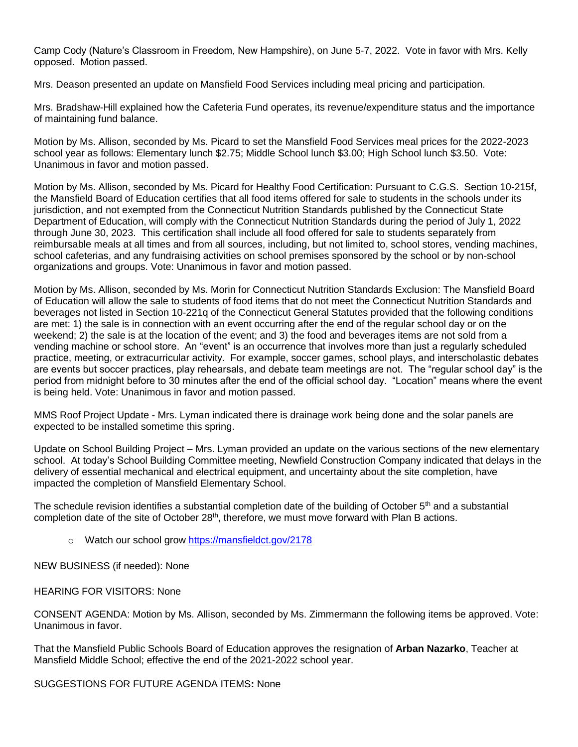Camp Cody (Nature's Classroom in Freedom, New Hampshire), on June 5-7, 2022. Vote in favor with Mrs. Kelly opposed. Motion passed.

Mrs. Deason presented an update on Mansfield Food Services including meal pricing and participation.

Mrs. Bradshaw-Hill explained how the Cafeteria Fund operates, its revenue/expenditure status and the importance of maintaining fund balance.

Motion by Ms. Allison, seconded by Ms. Picard to set the Mansfield Food Services meal prices for the 2022-2023 school year as follows: Elementary lunch \$2.75; Middle School lunch \$3.00; High School lunch \$3.50. Vote: Unanimous in favor and motion passed.

Motion by Ms. Allison, seconded by Ms. Picard for Healthy Food Certification: Pursuant to C.G.S. Section 10-215f, the Mansfield Board of Education certifies that all food items offered for sale to students in the schools under its jurisdiction, and not exempted from the Connecticut Nutrition Standards published by the Connecticut State Department of Education, will comply with the Connecticut Nutrition Standards during the period of July 1, 2022 through June 30, 2023. This certification shall include all food offered for sale to students separately from reimbursable meals at all times and from all sources, including, but not limited to, school stores, vending machines, school cafeterias, and any fundraising activities on school premises sponsored by the school or by non-school organizations and groups. Vote: Unanimous in favor and motion passed.

Motion by Ms. Allison, seconded by Ms. Morin for Connecticut Nutrition Standards Exclusion: The Mansfield Board of Education will allow the sale to students of food items that do not meet the Connecticut Nutrition Standards and beverages not listed in Section 10-221q of the Connecticut General Statutes provided that the following conditions are met: 1) the sale is in connection with an event occurring after the end of the regular school day or on the weekend; 2) the sale is at the location of the event; and 3) the food and beverages items are not sold from a vending machine or school store. An "event" is an occurrence that involves more than just a regularly scheduled practice, meeting, or extracurricular activity. For example, soccer games, school plays, and interscholastic debates are events but soccer practices, play rehearsals, and debate team meetings are not. The "regular school day" is the period from midnight before to 30 minutes after the end of the official school day. "Location" means where the event is being held. Vote: Unanimous in favor and motion passed.

MMS Roof Project Update - Mrs. Lyman indicated there is drainage work being done and the solar panels are expected to be installed sometime this spring.

Update on School Building Project – Mrs. Lyman provided an update on the various sections of the new elementary school. At today's School Building Committee meeting, Newfield Construction Company indicated that delays in the delivery of essential mechanical and electrical equipment, and uncertainty about the site completion, have impacted the completion of Mansfield Elementary School.

The schedule revision identifies a substantial completion date of the building of October 5<sup>th</sup> and a substantial completion date of the site of October 28<sup>th</sup>, therefore, we must move forward with Plan B actions.

o Watch our school gro[w https://mansfieldct.gov/2178](https://mansfieldct.gov/2178)

NEW BUSINESS (if needed): None

HEARING FOR VISITORS: None

CONSENT AGENDA: Motion by Ms. Allison, seconded by Ms. Zimmermann the following items be approved. Vote: Unanimous in favor.

That the Mansfield Public Schools Board of Education approves the resignation of **Arban Nazarko**, Teacher at Mansfield Middle School; effective the end of the 2021-2022 school year.

SUGGESTIONS FOR FUTURE AGENDA ITEMS**:** None